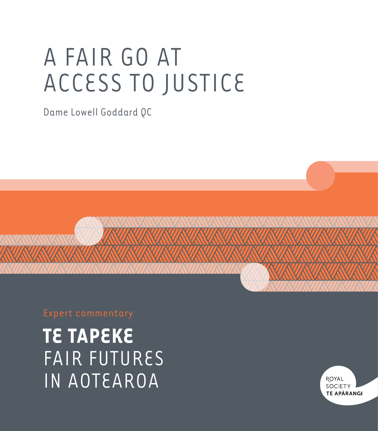# A FAIR GO AT ACCESS TO JUSTICE

Dame Lowell Goddard QC

**TE TAPEKE** FAIR FUTURES IN AOTEAROA

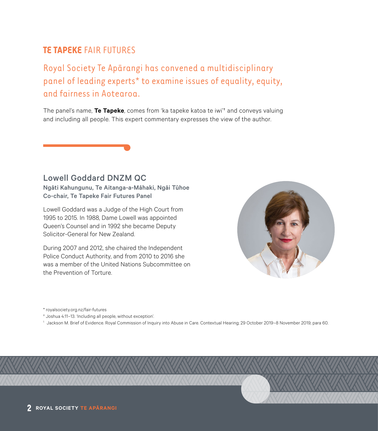#### **TE TAPEKE** FAIR FUTURES

Royal Society Te Apārangi has convened a multidisciplinary panel of leading experts\* to examine issues of equality, equity, and fairness in Aotearoa.

The panel's name, **Te Tapeke**, comes from 'ka tapeke katoa te iwi'† and conveys valuing and including all people. This expert commentary expresses the view of the author.

#### Lowell Goddard DNZM QC

Ngāti Kahungunu, Te Aitanga-a-Māhaki, Ngāi Tūhoe Co-chair, Te Tapeke Fair Futures Panel

Lowell Goddard was a Judge of the High Court from 1995 to 2015. In 1988, Dame Lowell was appointed Queen's Counsel and in 1992 she became Deputy Solicitor-General for New Zealand.

During 2007 and 2012, she chaired the Independent Police Conduct Authority, and from 2010 to 2016 she was a member of the United Nations Subcommittee on the Prevention of Torture.



\* [royalsociety.org.nz/fair-futures](http://royalsociety.org.nz/fair-futures)

† Joshua 4:11–13. 'Including all people, without exception'.

<sup>1</sup> Jackson M. Brief of Evidence. Royal Commission of Inquiry into Abuse in Care. Contextual Hearing; 29 October 2019–8 November 2019, para 60.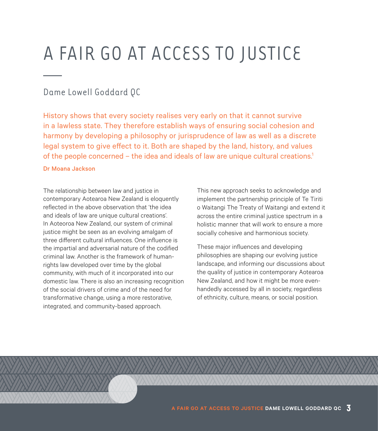## A FAIR GO AT ACCESS TO JUSTICE

#### Dame Lowell Goddard QC

History shows that every society realises very early on that it cannot survive in a lawless state. They therefore establish ways of ensuring social cohesion and harmony by developing a philosophy or jurisprudence of law as well as a discrete legal system to give effect to it. Both are shaped by the land, history, and values of the people concerned – the idea and ideals of law are unique cultural creations.<sup>1</sup>

#### Dr Moana Jackson

The relationship between law and justice in contemporary Aotearoa New Zealand is eloquently reflected in the above observation that 'the idea and ideals of law are unique cultural creations'. In Aoteoroa New Zealand, our system of criminal justice might be seen as an evolving amalgam of three different cultural influences. One influence is the impartial and adversarial nature of the codified criminal law. Another is the framework of humanrights law developed over time by the global community, with much of it incorporated into our domestic law. There is also an increasing recognition of the social drivers of crime and of the need for transformative change, using a more restorative, integrated, and community-based approach.

This new approach seeks to acknowledge and implement the partnership principle of Te Tiriti o Waitangi The Treaty of Waitangi and extend it across the entire criminal justice spectrum in a holistic manner that will work to ensure a more socially cohesive and harmonious society.

These major influences and developing philosophies are shaping our evolving justice landscape, and informing our discussions about the quality of justice in contemporary Aotearoa New Zealand, and how it might be more evenhandedly accessed by all in society, regardless of ethnicity, culture, means, or social position.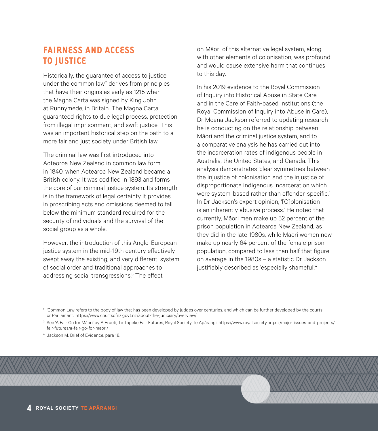#### **FAIRNESS AND ACCESS TO JUSTICE**

Historically, the guarantee of access to justice under the common law<sup>2</sup> derives from principles that have their origins as early as 1215 when the Magna Carta was signed by King John at Runnymede, in Britain. The Magna Carta guaranteed rights to due legal process, protection from illegal imprisonment, and swift justice. This was an important historical step on the path to a more fair and just society under British law.

The criminal law was first introduced into Aoteoroa New Zealand in common law form in 1840, when Aotearoa New Zealand became a British colony. It was codified in 1893 and forms the core of our criminal justice system. Its strength is in the framework of legal certainty it provides in proscribing acts and omissions deemed to fall below the minimum standard required for the security of individuals and the survival of the social group as a whole.

However, the introduction of this Anglo-European justice system in the mid-19th century effectively swept away the existing, and very different, system of social order and traditional approaches to addressing social transgressions.<sup>3</sup> The effect

on Māori of this alternative legal system, along with other elements of colonisation, was profound and would cause extensive harm that continues to this day.

In his 2019 evidence to the Royal Commission of Inquiry into Historical Abuse in State Care and in the Care of Faith-based Institutions (the Royal Commission of Inquiry into Abuse in Care), Dr Moana Jackson referred to updating research he is conducting on the relationship between Māori and the criminal justice system, and to a comparative analysis he has carried out into the incarceration rates of indigenous people in Australia, the United States, and Canada. This analysis demonstrates 'clear symmetries between the injustice of colonisation and the injustice of disproportionate indigenous incarceration which were system-based rather than offender-specific.' In Dr Jackson's expert opinion, '[C]olonisation is an inherently abusive process.' He noted that currently, Māori men make up 52 percent of the prison population in Aotearoa New Zealand, as they did in the late 1980s, while Māori women now make up nearly 64 percent of the female prison population, compared to less than half that figure on average in the 1980s – a statistic Dr Jackson justifiably described as 'especially shameful'.<sup>4</sup>

<sup>2</sup> 'Common Law refers to the body of law that has been developed by judges over centuries, and which can be further developed by the courts or Parliament.' [https://www.courtsofnz.govt.nz/about-the-judiciary/overview/](https://www.courtsofnz.govt.nz/about-the-judiciary/overview/ )

<sup>3</sup> See 'A Fair Go for Māori' by A Erueti, Te Tapeke Fair Futures, Royal Society Te Apārangi: [https://www.royalsociety.org.nz/major-issues-and-projects/](https://www.royalsociety.org.nz/major-issues-and-projects/fair-futures/a-fair-go-for-maori/  ) [fair-futures/a-fair-go-for-maori/](https://www.royalsociety.org.nz/major-issues-and-projects/fair-futures/a-fair-go-for-maori/  ) 

<sup>4</sup> Jackson M. Brief of Evidence, para 18.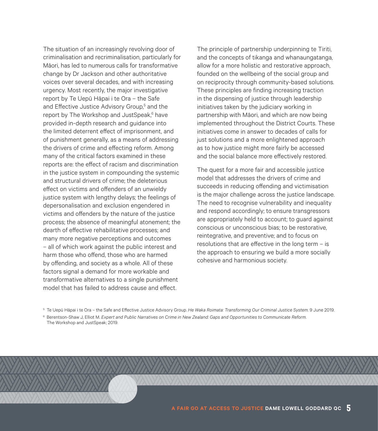The situation of an increasingly revolving door of criminalisation and recriminalisation, particularly for Māori, has led to numerous calls for transformative change by Dr Jackson and other authoritative voices over several decades, and with increasing urgency. Most recently, the major investigative report by Te Uepū Hāpai i te Ora – the Safe and Effective Justice Advisory Group,<sup>5</sup> and the report by The Workshop and JustSpeak,<sup>6</sup> have provided in-depth research and guidance into the limited deterrent effect of imprisonment, and of punishment generally, as a means of addressing the drivers of crime and effecting reform. Among many of the critical factors examined in these reports are: the effect of racism and discrimination in the justice system in compounding the systemic and structural drivers of crime; the deleterious effect on victims and offenders of an unwieldy justice system with lengthy delays; the feelings of depersonalisation and exclusion engendered in victims and offenders by the nature of the justice process; the absence of meaningful atonement; the dearth of effective rehabilitative processes; and many more negative perceptions and outcomes – all of which work against the public interest and harm those who offend, those who are harmed by offending, and society as a whole. All of these factors signal a demand for more workable and transformative alternatives to a single punishment model that has failed to address cause and effect.

The principle of partnership underpinning te Tiriti, and the concepts of tikanga and whanaungatanga, allow for a more holistic and restorative approach, founded on the wellbeing of the social group and on reciprocity through community-based solutions. These principles are finding increasing traction in the dispensing of justice through leadership initiatives taken by the judiciary working in partnership with Māori, and which are now being implemented throughout the District Courts. These initiatives come in answer to decades of calls for just solutions and a more enlightened approach as to how justice might more fairly be accessed and the social balance more effectively restored.

The quest for a more fair and accessible justice model that addresses the drivers of crime and succeeds in reducing offending and victimisation is the major challenge across the justice landscape. The need to recognise vulnerability and inequality and respond accordingly; to ensure transgressors are appropriately held to account; to guard against conscious or unconscious bias; to be restorative, reintegrative, and preventive; and to focus on resolutions that are effective in the long term – is the approach to ensuring we build a more socially cohesive and harmonious society.

<sup>5</sup> Te Uepū Hāpai i te Ora – the Safe and Effective Justice Advisory Group. *He Waka Roimata: Transforming Our Criminal Justice System*. 9 June 2019.

<sup>6</sup> Berentson-Shaw J, Elliot M. *Expert and Public Narratives on Crime in New Zealand: Gaps and Opportunities to Communicate Reform*.

The Workshop and JustSpeak; 2019.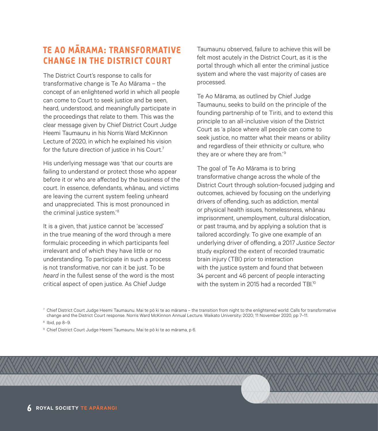## **TE AO MĀRAMA: TRANSFORMATIVE CHANGE IN THE DISTRICT COURT**

The District Court's response to calls for transformative change is Te Ao Mārama – the concept of an enlightened world in which all people can come to Court to seek justice and be seen, heard, understood, and meaningfully participate in the proceedings that relate to them. This was the clear message given by Chief District Court Judge Heemi Taumaunu in his Norris Ward McKinnon Lecture of 2020, in which he explained his vision for the future direction of justice in his Court.<sup>7</sup>

His underlying message was 'that our courts are failing to understand or protect those who appear before it or who are affected by the business of the court. In essence, defendants, whānau, and victims are leaving the current system feeling unheard and unappreciated. This is most pronounced in the criminal justice system.'<sup>8</sup>

It is a given, that justice cannot be 'accessed' in the true meaning of the word through a mere formulaic proceeding in which participants feel irrelevant and of which they have little or no understanding. To participate in such a process is not transformative, nor can it be just. To be *heard* in the fullest sense of the word is the most critical aspect of open justice. As Chief Judge

Taumaunu observed, failure to achieve this will be felt most acutely in the District Court, as it is the portal through which all enter the criminal justice system and where the vast majority of cases are processed.

Te Ao Mārama, as outlined by Chief Judge Taumaunu, seeks to build on the principle of the founding partnership of te Tiriti, and to extend this principle to an all-inclusive vision of the District Court as 'a place where all people can come to seek justice, no matter what their means or ability and regardless of their ethnicity or culture, who they are or where they are from.<sup>'9</sup>

The goal of Te Ao Mārama is to bring transformative change across the whole of the District Court through solution-focused judging and outcomes, achieved by focusing on the underlying drivers of offending, such as addiction, mental or physical health issues, homelessness, whānau imprisonment, unemployment, cultural dislocation, or past trauma, and by applying a solution that is tailored accordingly. To give one example of an underlying driver of offending, a 2017 *Justice Sector* study explored the extent of recorded traumatic brain injury (TBI) prior to interaction with the justice system and found that between 34 percent and 46 percent of people interacting with the system in 2015 had a recorded TBI.<sup>10</sup>

 $7$  Chief District Court Judge Heemi Taumaunu. Mai te pō ki te ao mārama – the transition from night to the enlightened world: Calls for transformative change and the District Court response. Norris Ward McKinnon Annual Lecture. Waikato University: 2020; 11 November 2020, pp 7–11.

<sup>9</sup> Chief District Court Judge Heemi Taumaunu. Mai te pō ki te ao mārama, p 6.

<sup>8</sup> Ibid, pp 8–9.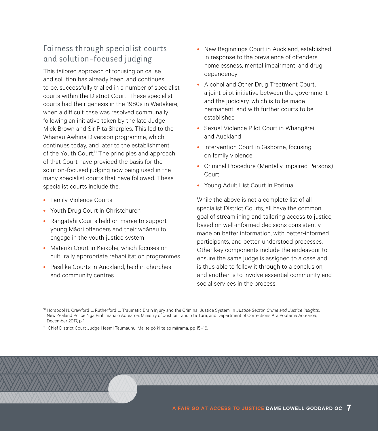#### Fairness through specialist courts and solution-focused judging

This tailored approach of focusing on cause and solution has already been, and continues to be, successfully trialled in a number of specialist courts within the District Court. These specialist courts had their genesis in the 1980s in Waitākere, when a difficult case was resolved communally following an initiative taken by the late Judge Mick Brown and Sir Pita Sharples. This led to the Whānau Awhina Diversion programme, which continues today, and later to the establishment of the Youth Court.<sup>11</sup> The principles and approach of that Court have provided the basis for the solution-focused judging now being used in the many specialist courts that have followed. These specialist courts include the:

- Family Violence Courts
- Youth Drug Court in Christchurch
- Rangatahi Courts held on marae to support young Māori offenders and their whānau to engage in the youth justice system
- Matariki Court in Kaikohe, which focuses on culturally appropriate rehabilitation programmes
- Pasifika Courts in Auckland, held in churches and community centres
- New Beginnings Court in Auckland, established in response to the prevalence of offenders' homelessness, mental impairment, and drug dependency
- Alcohol and Other Drug Treatment Court, a joint pilot initiative between the government and the judiciary, which is to be made permanent, and with further courts to be established
- Sexual Violence Pilot Court in Whangārei and Auckland
- Intervention Court in Gisborne, focusing on family violence
- Criminal Procedure (Mentally Impaired Persons) Court
- Young Adult List Court in Porirua.

While the above is not a complete list of all specialist District Courts, all have the common goal of streamlining and tailoring access to justice, based on well-informed decisions consistently made on better information, with better-informed participants, and better-understood processes. Other key components include the endeavour to ensure the same judge is assigned to a case and is thus able to follow it through to a conclusion; and another is to involve essential community and social services in the process.

<sup>10</sup> Horspool N, Crawford L, Rutherford L. Traumatic Brain Injury and the Criminal Justice System. in J*ustice Sector: Crime and Justice Insights*. New Zealand Police Ngā Pirihimana o Aotearoa, Ministry of Justice Tāhū o te Ture, and Department of Corrections Ara Poutama Aotearoa; December 2017, p 1.

11 Chief District Court Judge Heemi Taumaunu. Mai te pō ki te ao mārama, pp 15–16.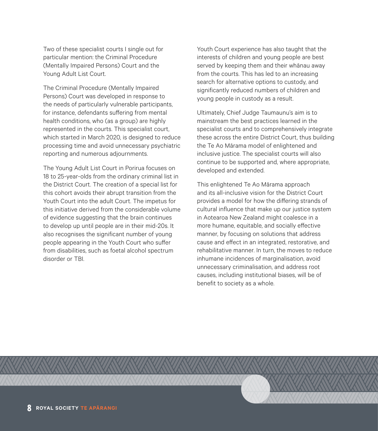Two of these specialist courts I single out for particular mention: the Criminal Procedure (Mentally Impaired Persons) Court and the Young Adult List Court.

The Criminal Procedure (Mentally Impaired Persons) Court was developed in response to the needs of particularly vulnerable participants, for instance, defendants suffering from mental health conditions, who (as a group) are highly represented in the courts. This specialist court, which started in March 2020, is designed to reduce processing time and avoid unnecessary psychiatric reporting and numerous adjournments.

The Young Adult List Court in Porirua focuses on 18 to 25-year-olds from the ordinary criminal list in the District Court. The creation of a special list for this cohort avoids their abrupt transition from the Youth Court into the adult Court. The impetus for this initiative derived from the considerable volume of evidence suggesting that the brain continues to develop up until people are in their mid-20s. It also recognises the significant number of young people appearing in the Youth Court who suffer from disabilities, such as foetal alcohol spectrum disorder or TBI.

Youth Court experience has also taught that the interests of children and young people are best served by keeping them and their whānau away from the courts. This has led to an increasing search for alternative options to custody, and significantly reduced numbers of children and young people in custody as a result.

Ultimately, Chief Judge Taumaunu's aim is to mainstream the best practices learned in the specialist courts and to comprehensively integrate these across the entire District Court, thus building the Te Ao Mārama model of enlightened and inclusive justice. The specialist courts will also continue to be supported and, where appropriate, developed and extended.

This enlightened Te Ao Mārama approach and its all-inclusive vision for the District Court provides a model for how the differing strands of cultural influence that make up our justice system in Aotearoa New Zealand might coalesce in a more humane, equitable, and socially effective manner, by focusing on solutions that address cause and effect in an integrated, restorative, and rehabilitative manner. In turn, the moves to reduce inhumane incidences of marginalisation, avoid unnecessary criminalisation, and address root causes, including institutional biases, will be of benefit to society as a whole.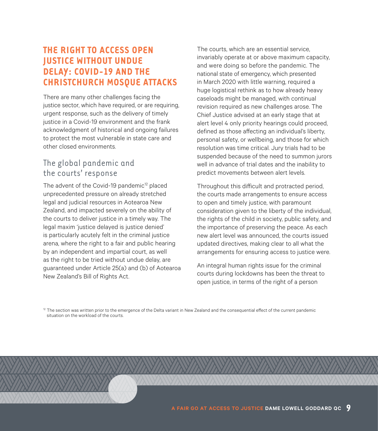#### **THE RIGHT TO ACCESS OPEN JUSTICE WITHOUT UNDUE DELAY: COVID-19 AND THE CHRISTCHURCH MOSQUE ATTACKS**

There are many other challenges facing the justice sector, which have required, or are requiring, urgent response, such as the delivery of timely iustice in a Covid-19 environment and the frank acknowledgment of historical and ongoing failures to protect the most vulnerable in state care and other closed environments.

#### The global pandemic and the courts' response

The advent of the Covid-19 pandemic<sup>12</sup> placed unprecedented pressure on already stretched legal and judicial resources in Aotearoa New Zealand, and impacted severely on the ability of the courts to deliver justice in a timely way. The legal maxim 'justice delayed is justice denied' is particularly acutely felt in the criminal justice arena, where the right to a fair and public hearing by an independent and impartial court, as well as the right to be tried without undue delay, are guaranteed under Article 25(a) and (b) of Aotearoa New Zealand's Bill of Rights Act.

The courts, which are an essential service, invariably operate at or above maximum capacity, and were doing so before the pandemic. The national state of emergency, which presented in March 2020 with little warning, required a huge logistical rethink as to how already heavy caseloads might be managed, with continual revision required as new challenges arose. The Chief Justice advised at an early stage that at alert level 4 only priority hearings could proceed, defined as those affecting an individual's liberty, personal safety, or wellbeing, and those for which resolution was time critical. Jury trials had to be suspended because of the need to summon jurors well in advance of trial dates and the inability to predict movements between alert levels.

Throughout this difficult and protracted period, the courts made arrangements to ensure access to open and timely justice, with paramount consideration given to the liberty of the individual, the rights of the child in society, public safety, and the importance of preserving the peace. As each new alert level was announced, the courts issued updated directives, making clear to all what the arrangements for ensuring access to justice were.

An integral human rights issue for the criminal courts during lockdowns has been the threat to open justice, in terms of the right of a person

 $12$  The section was written prior to the emergence of the Delta variant in New Zealand and the consequential effect of the current pandemic situation on the workload of the courts.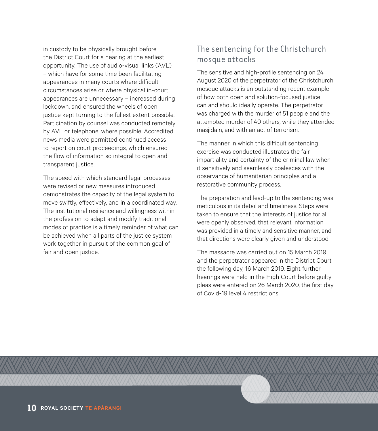in custody to be physically brought before the District Court for a hearing at the earliest opportunity. The use of audio-visual links (AVL) – which have for some time been facilitating appearances in many courts where difficult circumstances arise or where physical in-court appearances are unnecessary – increased during lockdown, and ensured the wheels of open justice kept turning to the fullest extent possible. Participation by counsel was conducted remotely by AVL or telephone, where possible. Accredited news media were permitted continued access to report on court proceedings, which ensured the flow of information so integral to open and transparent justice.

The speed with which standard legal processes were revised or new measures introduced demonstrates the capacity of the legal system to move swiftly, effectively, and in a coordinated way. The institutional resilience and willingness within the profession to adapt and modify traditional modes of practice is a timely reminder of what can be achieved when all parts of the justice system work together in pursuit of the common goal of fair and open justice.

#### The sentencing for the Christchurch mosque attacks

The sensitive and high-profile sentencing on 24 August 2020 of the perpetrator of the Christchurch mosque attacks is an outstanding recent example of how both open and solution-focused justice can and should ideally operate. The perpetrator was charged with the murder of 51 people and the attempted murder of 40 others, while they attended masjidain, and with an act of terrorism.

The manner in which this difficult sentencing exercise was conducted illustrates the fair impartiality and certainty of the criminal law when it sensitively and seamlessly coalesces with the observance of humanitarian principles and a restorative community process.

The preparation and lead-up to the sentencing was meticulous in its detail and timeliness. Steps were taken to ensure that the interests of justice for all were openly observed, that relevant information was provided in a timely and sensitive manner, and that directions were clearly given and understood.

The massacre was carried out on 15 March 2019 and the perpetrator appeared in the District Court the following day, 16 March 2019. Eight further hearings were held in the High Court before guilty pleas were entered on 26 March 2020, the first day of Covid-19 level 4 restrictions.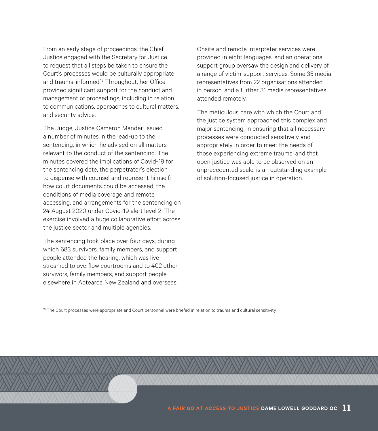From an early stage of proceedings, the Chief Justice engaged with the Secretary for Justice to request that all steps be taken to ensure the Court's processes would be culturally appropriate and trauma-informed.<sup>13</sup> Throughout, her Office provided significant support for the conduct and management of proceedings, including in relation to communications, approaches to cultural matters, and security advice.

The Judge, Justice Cameron Mander, issued a number of minutes in the lead-up to the sentencing, in which he advised on all matters relevant to the conduct of the sentencing. The minutes covered the implications of Covid-19 for the sentencing date; the perpetrator's election to dispense with counsel and represent himself; how court documents could be accessed; the conditions of media coverage and remote accessing; and arrangements for the sentencing on 24 August 2020 under Covid-19 alert level 2. The exercise involved a huge collaborative effort across the justice sector and multiple agencies.

The sentencing took place over four days, during which 683 survivors, family members, and support people attended the hearing, which was livestreamed to overflow courtrooms and to 402 other survivors, family members, and support people elsewhere in Aotearoa New Zealand and overseas. Onsite and remote interpreter services were provided in eight languages, and an operational support group oversaw the design and delivery of a range of victim-support services. Some 35 media representatives from 22 organisations attended in person, and a further 31 media representatives attended remotely.

The meticulous care with which the Court and the justice system approached this complex and major sentencing, in ensuring that all necessary processes were conducted sensitively and appropriately in order to meet the needs of those experiencing extreme trauma, and that open justice was able to be observed on an unprecedented scale, is an outstanding example of solution-focused justice in operation.

<sup>13</sup> The Court processes were appropriate and Court personnel were briefed in relation to trauma and cultural sensitivity.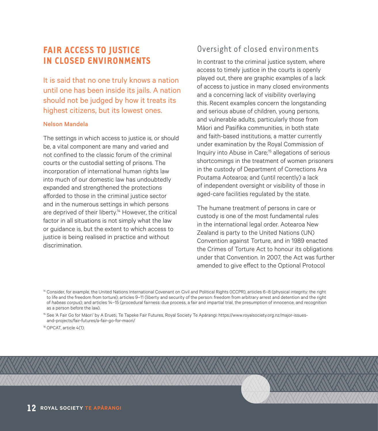#### **FAIR ACCESS TO JUSTICE IN CLOSED ENVIRONMENTS**

It is said that no one truly knows a nation until one has been inside its jails. A nation should not be judged by how it treats its highest citizens, but its lowest ones.

#### Nelson Mandela

The settings in which access to justice is, or should be, a vital component are many and varied and not confined to the classic forum of the criminal courts or the custodial setting of prisons. The incorporation of international human rights law into much of our domestic law has undoubtedly expanded and strengthened the protections afforded to those in the criminal justice sector and in the numerous settings in which persons are deprived of their liberty.<sup>14</sup> However, the critical factor in all situations is not simply what the law or guidance is, but the extent to which access to justice is being realised in practice and without discrimination.

#### Oversight of closed environments

In contrast to the criminal justice system, where access to timely justice in the courts is openly played out, there are graphic examples of a lack of access to justice in many closed environments and a concerning lack of visibility overlaying this. Recent examples concern the longstanding and serious abuse of children, young persons, and vulnerable adults, particularly those from Māori and Pasifika communities, in both state and faith-based institutions, a matter currently under examination by the Royal Commission of Inquiry into Abuse in Care;15 allegations of serious shortcomings in the treatment of women prisoners in the custody of Department of Corrections Ara Poutama Aotearoa; and (until recently) a lack of independent oversight or visibility of those in aged-care facilities regulated by the state.

The humane treatment of persons in care or custody is one of the most fundamental rules in the international legal order. Aotearoa New Zealand is party to the United Nations (UN) Convention against Torture, and in 1989 enacted the Crimes of Torture Act to honour its obligations under that Convention. In 2007, the Act was further amended to give effect to the Optional Protocol

<sup>16</sup> OPCAT, article 4(1).

<sup>&</sup>lt;sup>14</sup> Consider, for example, the United Nations International Covenant on Civil and Political Rights (ICCPR), articles 6–8 (physical integrity: the right to life and the freedom from torture); articles 9–11 (liberty and security of the person: freedom from arbitrary arrest and detention and the right of *habeas corpus*); and articles 14–15 (procedural fairness: due process, a fair and impartial trial, the presumption of innocence, and recognition as a person before the law).

<sup>15</sup> See 'A Fair Go for Māori' by A Erueti, Te Tapeke Fair Futures, Royal Society Te Apārangi: [https://www.royalsociety.org.nz/major-issues](https://www.royalsociety.org.nz/major-issues- and-projects/fair-futures/a-fair-go-for-maori/ )[and-projects/fair-futures/a-fair-go-for-maori/](https://www.royalsociety.org.nz/major-issues- and-projects/fair-futures/a-fair-go-for-maori/ )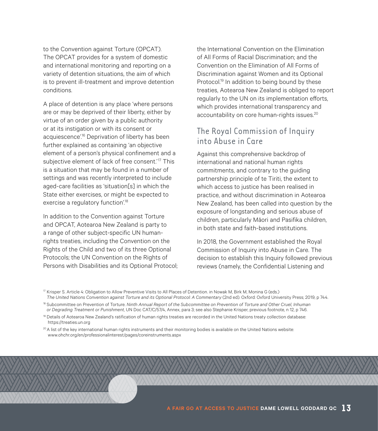to the Convention against Torture (OPCAT). The OPCAT provides for a system of domestic and international monitoring and reporting on a variety of detention situations, the aim of which is to prevent ill-treatment and improve detention conditions.

A place of detention is any place 'where persons are or may be deprived of their liberty, either by virtue of an order given by a public authority or at its instigation or with its consent or acquiescence'.<sup>16</sup> Deprivation of liberty has been further explained as containing 'an objective element of a person's physical confinement and a subjective element of lack of free consent.'<sup>17</sup> This is a situation that may be found in a number of settings and was recently interpreted to include aged-care facilities as 'situation[s] in which the State either exercises, or might be expected to exercise a regulatory function'.<sup>18</sup>

In addition to the Convention against Torture and OPCAT, Aotearoa New Zealand is party to a range of other subject-specific UN humanrights treaties, including the Convention on the Rights of the Child and two of its three Optional Protocols; the UN Convention on the Rights of Persons with Disabilities and its Optional Protocol; the International Convention on the Elimination of All Forms of Racial Discrimination; and the Convention on the Elimination of All Forms of Discrimination against Women and its Optional Protocol.<sup>19</sup> In addition to being bound by these treaties, Aotearoa New Zealand is obliged to report regularly to the UN on its implementation efforts, which provides international transparency and accountability on core human-rights issues.<sup>20</sup>

#### The Royal Commission of Inquiry into Abuse in Care

Against this comprehensive backdrop of international and national human rights commitments, and contrary to the guiding partnership principle of te Tiriti, the extent to which access to justice has been realised in practice, and without discrimination in Aotearoa New Zealand, has been called into question by the exposure of longstanding and serious abuse of children, particularly Māori and Pasifika children, in both state and faith-based institutions.

In 2018, the Government established the Royal Commission of Inquiry into Abuse in Care. The decision to establish this Inquiry followed previous reviews (namely, the Confidential Listening and

<sup>17</sup> Krisper S. Article 4: Obligation to Allow Preventive Visits to All Places of Detention. in Nowak M, Birk M, Monina G (eds.) *The United Nations Convention against Torture and its Optional Protocol: A Commentary* (2nd ed). Oxford: Oxford University Press; 2019, p 744.

<sup>&</sup>lt;sup>18</sup> Subcommittee on Prevention of Torture. Ninth Annual Report of the Subcommittee on Prevention of Torture and Other Cruel, Inhuman *or Degrading Treatment or Punishment*, UN Doc CAT/C/57/4, Annex, para 3; see also Stephanie Krisper, previous footnote, n 12, p 746.

<sup>&</sup>lt;sup>19</sup> Details of Aotearoa New Zealand's ratification of human rights treaties are recorded in the United Nations treaty collection database: <https://treaties.un.org>

 $20A$  list of the key international human rights instruments and their monitoring bodies is available on the United Nations website: [www.ohchr.org/en/professionalinterest/pages/coreinstruments.aspx](http://www.ohchr.org/en/professionalinterest/pages/coreinstruments.aspx  )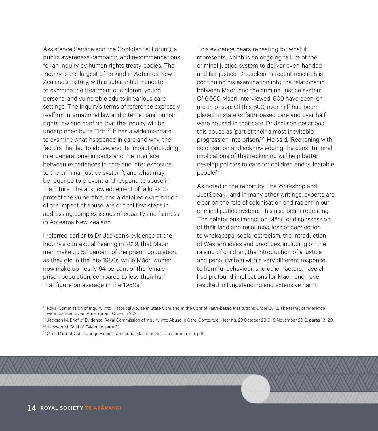Assistance Service and the Confidential Forum), a public awareness campaign, and recommendations for an inquiry by human rights treaty bodies. The Inquiry is the largest of its kind in Aotearoa New Zealand's history, with a substantial mandate to examine the treatment of children, young persons, and vulnerable adults in various care settings. The Inquiry's terms of reference expressly reaffirm international law and international human rights law and confirm that the Inquiry will be underpinned by te Tiriti.<sup>21</sup> It has a wide mandate to examine what happened in care and why, the factors that led to abuse, and its impact (including intergenerational impacts and the interface between experiences in care and later exposure to the criminal justice system), and what may be required to prevent and respond to abuse in the future. The acknowledgement of failures to protect the vulnerable, and a detailed examination of the impact of abuse, are critical first steps in addressing complex issues of equality and fairness in Aotearoa New Zealand.

I referred earlier to Dr Jackson's evidence at the Inquiry's contextual hearing in 2019, that Māori men make up 52 percent of the prison population, as they did in the late 1980s, while Māori women now make up nearly 64 percent of the female prison population, compared to less than half that figure on average in the 1980s.

This evidence bears repeating for what it represents, which is an ongoing failure of the criminal justice system to deliver even-handed and fair justice. Dr Jackson's recent research is continuing his examination into the relationship between Māori and the criminal justice system. Of 6,000 Māori interviewed, 600 have been, or are, in prison. Of this 600, over half had been placed in state or faith-based care and over half were abused in that care. Dr Jackson describes this abuse as 'part of their almost inevitable progression into prison.<sup>'22</sup> He said, 'Reckoning with colonisation and acknowledging the constitutional implications of that reckoning will help better develop policies to care for children and vulnerable people.' <sup>23</sup>

As noted in the report by The Workshop and JustSpeak,<sup>6</sup> and in many other writings, experts are clear on the role of colonisation and racism in our criminal justice system. This also bears repeating. The deleterious impact on Māori of dispossession of their land and resources, loss of connection to whakapapa, social ostracism, the introduction of Western ideas and practices, including on the raising of children, the introduction of a justice and penal system with a very different response to harmful behaviour, and other factors, have all had profound implications for Māori and have resulted in longstanding and extensive harm.

<sup>21</sup> Royal Commission of Inquiry into Historical Abuse in State Care and in the Care of Faith-based Institutions Order 2018. The terms of reference were updated by an Amendment Order in 2021.

<sup>22</sup> Jackson M. Brief of Evidence. Royal Commission of Inquiry into Abuse in Care. Contextual Hearing; 29 October 2019-8 November 2019; paras 18-20.

<sup>23</sup> Jackson M. Brief of Evidence, para 30.

<sup>24</sup> Chief District Court Judge Heemi Taumaunu. Mai te pō ki te ao mārama, n 6, p 8,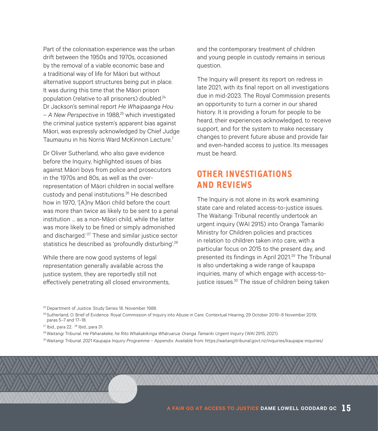Part of the colonisation experience was the urban drift between the 1950s and 1970s, occasioned by the removal of a viable economic base and a traditional way of life for Māori but without alternative support structures being put in place. It was during this time that the Māori prison population (relative to all prisoners) doubled.<sup>24</sup> Dr Jackson's seminal report *He Whaipaanga Hou – A New Perspective* in 1988,25 which investigated the criminal justice system's apparent bias against Māori, was expressly acknowledged by Chief Judge Taumaunu in his Norris Ward McKinnon Lecture.7

Dr Oliver Sutherland, who also gave evidence before the Inquiry, highlighted issues of bias against Māori boys from police and prosecutors in the 1970s and 80s, as well as the overrepresentation of Māori children in social welfare custody and penal institutions.26 He described how in 1970, '[A]ny Māori child before the court was more than twice as likely to be sent to a penal institution … as a non-Māori child, while the latter was more likely to be fined or simply admonished and discharged.'<sup>27</sup> These and similar justice sector statistics he described as 'profoundly disturbing'.<sup>28</sup>

While there are now good systems of legal representation generally available across the justice system, they are reportedly still not effectively penetrating all closed environments, and the contemporary treatment of children and young people in custody remains in serious question.

The Inquiry will present its report on redress in late 2021, with its final report on all investigations due in mid-2023. The Royal Commission presents an opportunity to turn a corner in our shared history. It is providing a forum for people to be heard, their experiences acknowledged, to receive support, and for the system to make necessary changes to prevent future abuse and provide fair and even-handed access to justice. Its messages must be heard.

#### **OTHER INVESTIGATIONS AND REVIEWS**

The Inquiry is not alone in its work examining state care and related access-to-justice issues. The Waitangi Tribunal recently undertook an urgent inquiry (WAI 2915) into Oranga Tamariki Ministry for Children policies and practices in relation to children taken into care, with a particular focus on 2015 to the present day, and presented its findings in April 2021.<sup>29</sup> The Tribunal is also undertaking a wide range of kaupapa inquiries, many of which engage with access-tojustice issues.<sup>30</sup> The issue of children being taken

<sup>25</sup> Department of Justice. Study Series 18. November 1988.

<sup>26</sup> Sutherland, O. Brief of Evidence. Royal Commission of Inquiry into Abuse in Care. Contextual Hearing; 29 October 2019-8 November 2019; paras 5–7 and 17–18.

- 29Waitangi Tribunal. *He Pāharakeke, he Rito Whakakīkinga Whāruarua: Oranga Tamariki Urgent Inquiry* (WAI 2915; 2021).
- 30Waitangi Tribunal. *2021 Kaupapa Inquiry Programme Appendix*. Available from: <https://waitangitribunal.govt.nz/inquiries/kaupapa-inquiries/>

<sup>27</sup> Ibid., para 22. 28 Ibid., para 31.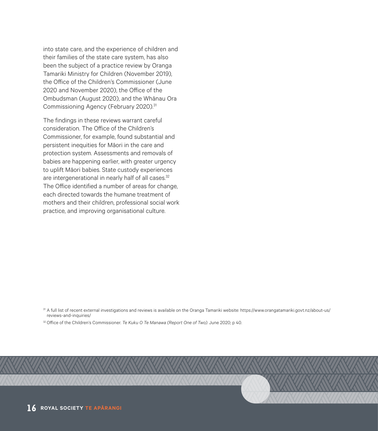into state care, and the experience of children and their families of the state care system, has also been the subject of a practice review by Oranga Tamariki Ministry for Children (November 2019), the Office of the Children's Commissioner (June 2020 and November 2020), the Office of the Ombudsman (August 2020), and the Whānau Ora Commissioning Agency (February 2020).<sup>31</sup>

The findings in these reviews warrant careful consideration. The Office of the Children's Commissioner, for example, found substantial and persistent inequities for Māori in the care and protection system. Assessments and removals of babies are happening earlier, with greater urgency to uplift Māori babies. State custody experiences are intergenerational in nearly half of all cases.<sup>32</sup> The Office identified a number of areas for change, each directed towards the humane treatment of mothers and their children, professional social work practice, and improving organisational culture.

<sup>32</sup> Office of the Children's Commissioner. *Te Kuku O Te Manawa (Report One of Two)*. June 2020; p 40.

<sup>31</sup> A full list of recent external investigations and reviews is available on the Oranga Tamariki website: [https://www.orangatamariki.govt.nz/about-us/](https://www.orangatamariki.govt.nz/about-us/reviews-and-inquiries/  ) [reviews-and-inquiries/](https://www.orangatamariki.govt.nz/about-us/reviews-and-inquiries/  )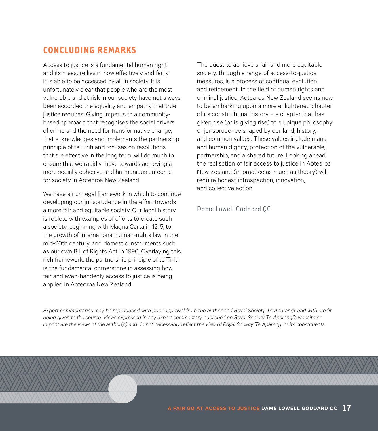#### **CONCLUDING REMARKS**

Access to justice is a fundamental human right and its measure lies in how effectively and fairly it is able to be accessed by all in society. It is unfortunately clear that people who are the most vulnerable and at risk in our society have not always been accorded the equality and empathy that true justice requires. Giving impetus to a communitybased approach that recognises the social drivers of crime and the need for transformative change, that acknowledges and implements the partnership principle of te Tiriti and focuses on resolutions that are effective in the long term, will do much to ensure that we rapidly move towards achieving a more socially cohesive and harmonious outcome for society in Aoteoroa New Zealand.

We have a rich legal framework in which to continue developing our jurisprudence in the effort towards a more fair and equitable society. Our legal history is replete with examples of efforts to create such a society, beginning with Magna Carta in 1215, to the growth of international human-rights law in the mid-20th century, and domestic instruments such as our own Bill of Rights Act in 1990. Overlaying this rich framework, the partnership principle of te Tiriti is the fundamental cornerstone in assessing how fair and even-handedly access to justice is being applied in Aoteoroa New Zealand.

The quest to achieve a fair and more equitable society, through a range of access-to-justice measures, is a process of continual evolution and refinement. In the field of human rights and criminal justice, Aotearoa New Zealand seems now to be embarking upon a more enlightened chapter of its constitutional history – a chapter that has given rise (or is giving rise) to a unique philosophy or jurisprudence shaped by our land, history, and common values. These values include mana and human dignity, protection of the vulnerable, partnership, and a shared future. Looking ahead, the realisation of fair access to justice in Aotearoa New Zealand (in practice as much as theory) will require honest introspection, innovation, and collective action.

#### Dame Lowell Goddard QC

*Expert commentaries may be reproduced with prior approval from the author and Royal Society Te Apārangi, and with credit being given to the source. Views expressed in any expert commentary published on Royal Society Te Apārangi's website or in print are the views of the author(s) and do not necessarily reflect the view of Royal Society Te Apārangi or its constituents.*